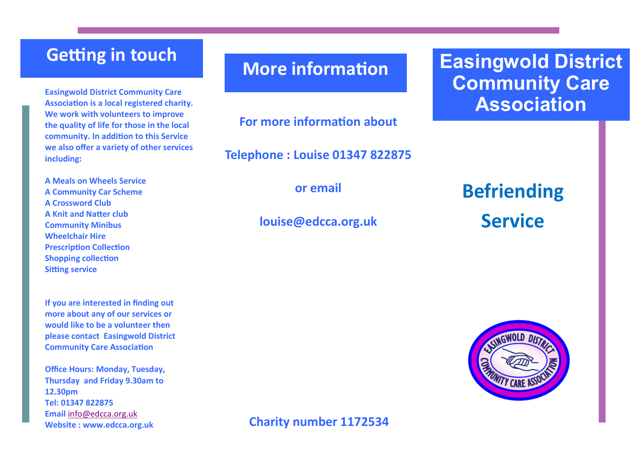### **Getting in touch**

**Easingwold District Community Care Association is a local registered charity. We work with volunteers to improve the quality of life for those in the local community. In addition to this Service we also offer a variety of other services including:** 

**A Meals on Wheels Service A Community Car Scheme A Crossword Club A Knit and Natter club Community Minibus Wheelchair Hire Prescription Collection Shopping collection Sitting service**

**If you are interested in finding out more about any of our services or would like to be a volunteer then please contact Easingwold District Community Care Association**

**Office Hours: Monday, Tuesday, Thursday and Friday 9.30am to 12.30pm Tel: 01347 822875 Email** [info@edcca.org.uk](mailto:info@edcca.org.uk) **Website : www.edcca.org.uk**

### **More information**

**For more information about** 

**Telephone : Louise 01347 822875**

**or email**

### **louise@edcca.org.uk**

# **Easingwold District Community Care Association**

**Befriending Service**



### **Charity number 1172534**